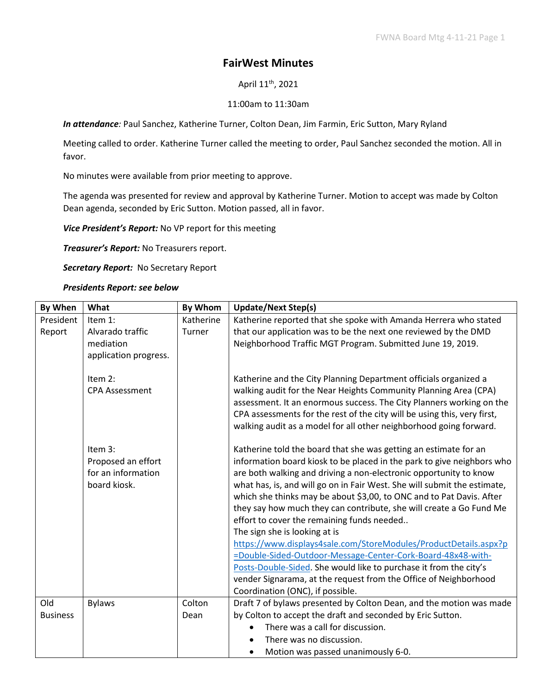## **FairWest Minutes**

April 11<sup>th</sup>, 2021

## 11:00am to 11:30am

*In attendance:* Paul Sanchez, Katherine Turner, Colton Dean, Jim Farmin, Eric Sutton, Mary Ryland

Meeting called to order. Katherine Turner called the meeting to order, Paul Sanchez seconded the motion. All in favor.

No minutes were available from prior meeting to approve.

The agenda was presented for review and approval by Katherine Turner. Motion to accept was made by Colton Dean agenda, seconded by Eric Sutton. Motion passed, all in favor.

*Vice President's Report:* No VP report for this meeting

*Treasurer's Report:* No Treasurers report.

*Secretary Report:* No Secretary Report

## *Presidents Report: see below*

| By When         | What                             | <b>By Whom</b> | <b>Update/Next Step(s)</b>                                                                                                                     |
|-----------------|----------------------------------|----------------|------------------------------------------------------------------------------------------------------------------------------------------------|
| President       | Item 1:                          | Katherine      | Katherine reported that she spoke with Amanda Herrera who stated                                                                               |
| Report          | Alvarado traffic                 | Turner         | that our application was to be the next one reviewed by the DMD                                                                                |
|                 | mediation                        |                | Neighborhood Traffic MGT Program. Submitted June 19, 2019.                                                                                     |
|                 | application progress.            |                |                                                                                                                                                |
|                 | Item 2:<br><b>CPA Assessment</b> |                | Katherine and the City Planning Department officials organized a<br>walking audit for the Near Heights Community Planning Area (CPA)           |
|                 |                                  |                | assessment. It an enormous success. The City Planners working on the                                                                           |
|                 |                                  |                | CPA assessments for the rest of the city will be using this, very first,<br>walking audit as a model for all other neighborhood going forward. |
|                 | Item 3:                          |                | Katherine told the board that she was getting an estimate for an                                                                               |
|                 | Proposed an effort               |                | information board kiosk to be placed in the park to give neighbors who                                                                         |
|                 | for an information               |                | are both walking and driving a non-electronic opportunity to know                                                                              |
|                 | board kiosk.                     |                | what has, is, and will go on in Fair West. She will submit the estimate,                                                                       |
|                 |                                  |                | which she thinks may be about \$3,00, to ONC and to Pat Davis. After<br>they say how much they can contribute, she will create a Go Fund Me    |
|                 |                                  |                | effort to cover the remaining funds needed                                                                                                     |
|                 |                                  |                | The sign she is looking at is                                                                                                                  |
|                 |                                  |                | https://www.displays4sale.com/StoreModules/ProductDetails.aspx?p                                                                               |
|                 |                                  |                | =Double-Sided-Outdoor-Message-Center-Cork-Board-48x48-with-                                                                                    |
|                 |                                  |                | Posts-Double-Sided. She would like to purchase it from the city's                                                                              |
|                 |                                  |                | vender Signarama, at the request from the Office of Neighborhood                                                                               |
|                 |                                  |                | Coordination (ONC), if possible.                                                                                                               |
| Old             | <b>Bylaws</b>                    | Colton         | Draft 7 of bylaws presented by Colton Dean, and the motion was made                                                                            |
| <b>Business</b> |                                  | Dean           | by Colton to accept the draft and seconded by Eric Sutton.                                                                                     |
|                 |                                  |                | There was a call for discussion.                                                                                                               |
|                 |                                  |                | There was no discussion.                                                                                                                       |
|                 |                                  |                | Motion was passed unanimously 6-0.                                                                                                             |